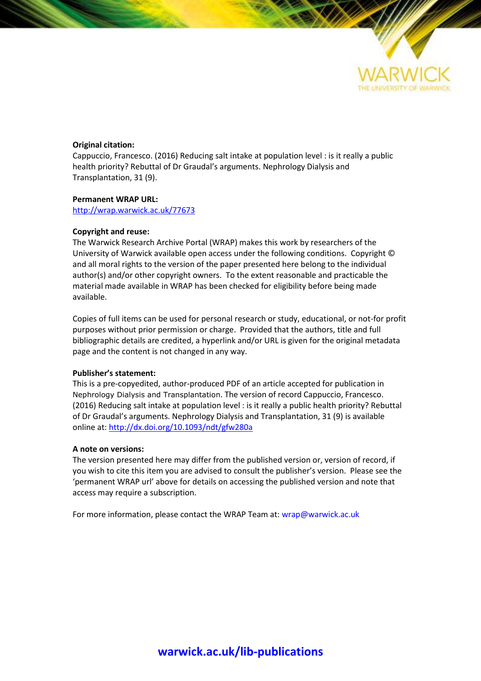

# **Original citation:**

Cappuccio, Francesco. (2016) Reducing salt intake at population level : is it really a public health priority? Rebuttal of Dr Graudal's arguments. Nephrology Dialysis and Transplantation, 31 (9).

# **Permanent WRAP URL:**

<http://wrap.warwick.ac.uk/77673>

# **Copyright and reuse:**

The Warwick Research Archive Portal (WRAP) makes this work by researchers of the University of Warwick available open access under the following conditions. Copyright © and all moral rights to the version of the paper presented here belong to the individual author(s) and/or other copyright owners. To the extent reasonable and practicable the material made available in WRAP has been checked for eligibility before being made available.

Copies of full items can be used for personal research or study, educational, or not-for profit purposes without prior permission or charge. Provided that the authors, title and full bibliographic details are credited, a hyperlink and/or URL is given for the original metadata page and the content is not changed in any way.

### **Publisher's statement:**

This is a pre-copyedited, author-produced PDF of an article accepted for publication in Nephrology Dialysis and Transplantation. The version of record Cappuccio, Francesco. (2016) Reducing salt intake at population level : is it really a public health priority? Rebuttal of Dr Graudal's arguments. Nephrology Dialysis and Transplantation, 31 (9) is available online at[: http://dx.doi.org/10.1093/ndt/gfw280a](http://dx.doi.org/10.1093/ndt/gfw280a)

### **A note on versions:**

The version presented here may differ from the published version or, version of record, if you wish to cite this item you are advised to consult the publisher's version. Please see the 'permanent WRAP url' above for details on accessing the published version and note that access may require a subscription.

For more information, please contact the WRAP Team at[: wrap@warwick.ac.uk](mailto:wrap@warwick.ac.uk)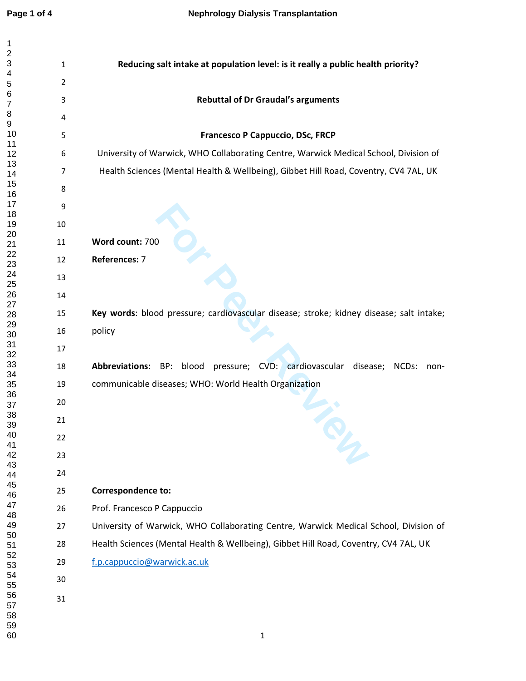$\mathbf 1$ 

| 1                    |                |                                                                                            |
|----------------------|----------------|--------------------------------------------------------------------------------------------|
| 2<br>3               | $\mathbf{1}$   | Reducing salt intake at population level: is it really a public health priority?           |
| 4                    |                |                                                                                            |
| 5<br>6               | $\overline{2}$ |                                                                                            |
| 7                    | 3              | <b>Rebuttal of Dr Graudal's arguments</b>                                                  |
| 8<br>9               | 4              |                                                                                            |
| 10<br>11             | 5              | Francesco P Cappuccio, DSc, FRCP                                                           |
| 12                   | 6              | University of Warwick, WHO Collaborating Centre, Warwick Medical School, Division of       |
| 13<br>14             | 7              | Health Sciences (Mental Health & Wellbeing), Gibbet Hill Road, Coventry, CV4 7AL, UK       |
| 15<br>16             | 8              |                                                                                            |
| 17<br>18             | 9              |                                                                                            |
| 19                   | 10             |                                                                                            |
| 20<br>21             | 11             | Word count: 700                                                                            |
| 22<br>23             | 12             | References: 7                                                                              |
| 24<br>25             | 13             |                                                                                            |
| 26<br>27             | 14             |                                                                                            |
| 28                   | 15             | Key words: blood pressure; cardiovascular disease; stroke; kidney disease; salt intake;    |
| 29<br>30             | 16             | policy                                                                                     |
| 31<br>32             | 17             |                                                                                            |
| 33<br>34             | 18             | blood pressure; CVD: cardiovascular disease;<br><b>Abbreviations: BP:</b><br>NCDs:<br>non- |
| 35                   | 19             | communicable diseases; WHO: World Health Organization                                      |
| 36<br>37             | 20             |                                                                                            |
| 38<br>39             | 21             |                                                                                            |
| 40<br>41             | 22             |                                                                                            |
| 42<br>43             | 23             |                                                                                            |
| 44                   | 24             |                                                                                            |
| 45<br>46             | 25             | <b>Correspondence to:</b>                                                                  |
| 47<br>48             | 26             | Prof. Francesco P Cappuccio                                                                |
| 49<br>50             | 27             | University of Warwick, WHO Collaborating Centre, Warwick Medical School, Division of       |
| 51<br>52             | 28             | Health Sciences (Mental Health & Wellbeing), Gibbet Hill Road, Coventry, CV4 7AL, UK       |
| 53                   | 29             | f.p.cappuccio@warwick.ac.uk                                                                |
| 54<br>55             | 30             |                                                                                            |
| 56<br>57<br>58<br>59 | 31             |                                                                                            |
| 60                   |                | $\mathbf{1}$                                                                               |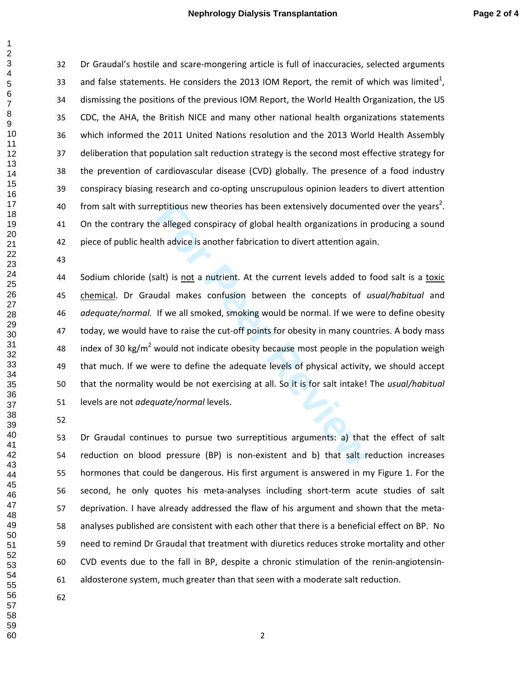Dr Graudal's hostile and scare-mongering article is full of inaccuracies, selected arguments 33 and false statements. He considers the 2013 IOM Report, the remit of which was limited<sup>1</sup>, dismissing the positions of the previous IOM Report, the World Health Organization, the US CDC, the AHA, the British NICE and many other national health organizations statements which informed the 2011 United Nations resolution and the 2013 World Health Assembly deliberation that population salt reduction strategy is the second most effective strategy for the prevention of cardiovascular disease (CVD) globally. The presence of a food industry conspiracy biasing research and co-opting unscrupulous opinion leaders to divert attention 40 from salt with surreptitious new theories has been extensively documented over the years<sup>2</sup>. On the contrary the alleged conspiracy of global health organizations in producing a sound piece of public health advice is another fabrication to divert attention again.

eptitious new theories has been extensively document<br>
e alleged conspiracy of global health organizations in<br>
th advice is another fabrication to divert attention aga<br>
alt) is <u>not</u> a nutrient. At the current levels added Sodium chloride (salt) is not a nutrient. At the current levels added to food salt is a toxic chemical. Dr Graudal makes confusion between the concepts of *usual/habitual* and *adequate/normal.* If we all smoked, smoking would be normal. If we were to define obesity today, we would have to raise the cut-off points for obesity in many countries. A body mass 48 index of 30 kg/m<sup>2</sup> would not indicate obesity because most people in the population weigh that much. If we were to define the adequate levels of physical activity, we should accept that the normality would be not exercising at all. So it is for salt intake! The *usual/habitual* levels are not *adequate/normal* levels.

Dr Graudal continues to pursue two surreptitious arguments: a) that the effect of salt reduction on blood pressure (BP) is non-existent and b) that salt reduction increases hormones that could be dangerous. His first argument is answered in my Figure 1. For the second, he only quotes his meta-analyses including short-term acute studies of salt deprivation. I have already addressed the flaw of his argument and shown that the meta-analyses published are consistent with each other that there is a beneficial effect on BP. No need to remind Dr Graudal that treatment with diuretics reduces stroke mortality and other CVD events due to the fall in BP, despite a chronic stimulation of the renin-angiotensin-aldosterone system, much greater than that seen with a moderate salt reduction.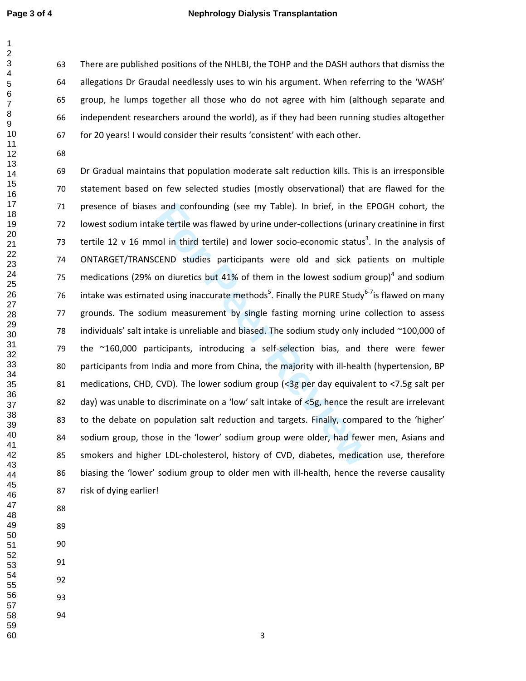### **Page 3 of 4 Nephrology Dialysis Transplantation**

There are published positions of the NHLBI, the TOHP and the DASH authors that dismiss the allegations Dr Graudal needlessly uses to win his argument. When referring to the 'WASH' group, he lumps together all those who do not agree with him (although separate and independent researchers around the world), as if they had been running studies altogether for 20 years! I would consider their results 'consistent' with each other.

For and confounding (see my Table). In brief, in the E<br>ke tertile was flawed by urine under-collections (urinar<br>nol in third tertile) and lower socio-economic status<sup>3</sup>.<br>CEND studies participants were old and sick pat<br>on d Dr Gradual maintains that population moderate salt reduction kills. This is an irresponsible statement based on few selected studies (mostly observational) that are flawed for the presence of biases and confounding (see my Table). In brief, in the EPOGH cohort, the lowest sodium intake tertile was flawed by urine under-collections (urinary creatinine in first 73 tertile 12 v 16 mmol in third tertile) and lower socio-economic status<sup>3</sup>. In the analysis of ONTARGET/TRANSCEND studies participants were old and sick patients on multiple 75 medications (29% on diuretics but 41% of them in the lowest sodium group)<sup>4</sup> and sodium 76 intake was estimated using inaccurate methods<sup>5</sup>. Finally the PURE Study<sup>6-7</sup>is flawed on many grounds. The sodium measurement by single fasting morning urine collection to assess 78 individuals' salt intake is unreliable and biased. The sodium study only included ~100,000 of the ~160,000 participants, introducing a self-selection bias, and there were fewer participants from India and more from China, the majority with ill-health (hypertension, BP medications, CHD, CVD). The lower sodium group (<3g per day equivalent to <7.5g salt per 82 day) was unable to discriminate on a 'low' salt intake of <5g, hence the result are irrelevant to the debate on population salt reduction and targets. Finally, compared to the 'higher' sodium group, those in the 'lower' sodium group were older, had fewer men, Asians and smokers and higher LDL-cholesterol, history of CVD, diabetes, medication use, therefore biasing the 'lower' sodium group to older men with ill-health, hence the reverse causality risk of dying earlier!

- -

- 
- 
- 
-